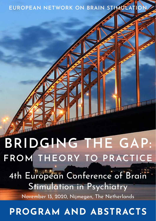## **EUROPEAN NETWORK ON BRAIN STIMULATION**

**BRIDGING THE GAP: FROM THEORY TO PRACTICE**

4th European Conference of Brain Stimulation in Psychiatry November 13, 2020, Nijmegen, The Netherlands

**PROGRAM AND ABSTRACTS**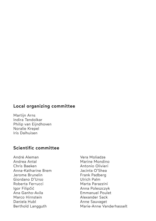#### Local organizing committee

Martijn Arns Indira Tendolkar Philip van Eijndhoven Noralie Krepel Iris Dalhuisen

#### Scientific committee

André Aleman Andrea Antal Chris Baeken Anna-Katharine Brem Jerome Brunelin Giordano D'Urso Roberta Ferrucci Igor Filipčić Ana Ganho-Avila Marco Hirnstein Daniela Hubl Berthold Langguth

Vera Moliadze Marine Mondino Antonio Olivieri Jacinta O'Shea Frank Padberg Ulrich Palm Marta Parazzini Anna Poleszczyk Emmanuel Poulet Alexander Sack Anne Sauvaget Marie-Anne Vanderhasselt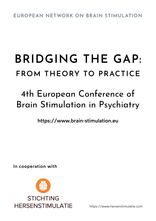# **BRIDGING THE GAP: FROM THEORY TO PRACTICE**

# 4th European Conference of Brain Stimulation in Psychiatry

<https://www.brain-stimulation.eu>

In cooperation with



<https://www.hersenstimulatie.com>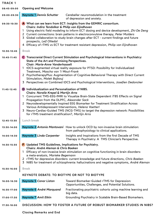| <b>TRACK 1</b> |                                                                                                                                                                                                                                                                                                                                                                                                                               |                                                                                                                                                                                                                                                                                                                                                                                                                                     |
|----------------|-------------------------------------------------------------------------------------------------------------------------------------------------------------------------------------------------------------------------------------------------------------------------------------------------------------------------------------------------------------------------------------------------------------------------------|-------------------------------------------------------------------------------------------------------------------------------------------------------------------------------------------------------------------------------------------------------------------------------------------------------------------------------------------------------------------------------------------------------------------------------------|
| 08:45-09:00    | <b>Opening and Welcome</b>                                                                                                                                                                                                                                                                                                                                                                                                    |                                                                                                                                                                                                                                                                                                                                                                                                                                     |
| 09:00-09:30    | <b>Keynote 1 Dennis Schutter</b>                                                                                                                                                                                                                                                                                                                                                                                              | Cerebellar neuromodulation in the treatment<br>of depression and anxiety.                                                                                                                                                                                                                                                                                                                                                           |
| 09:30-10:30    | Chairs: Indira Tendolkar & Philip van Eijndhoven<br>prospects, Leif Oltedal                                                                                                                                                                                                                                                                                                                                                   | A What can we learn from ECT: Insights from the GEMRIC consortium.<br>1 Using electric field modeling to inform ECT dosing and device development, Zhi-De Deng<br>2 Current connections: brain patterns in electroconvulsive therapy, Peter Mulders<br>3 Global collaboration to study brain changes after ECT - current findings and future<br>4 Efficacy of rTMS vs ECT for treatment resistant depression, Philip van Eijndhoven |
| 10:30-10:45    | <b>Break</b>                                                                                                                                                                                                                                                                                                                                                                                                                  |                                                                                                                                                                                                                                                                                                                                                                                                                                     |
| 10:45-11:45    | State of the Art and Promising Perspectives.<br>Chair: Marie-Anne Vanderhasselt<br>Treatment, Mascha van 't Wout-Frank<br>Stimulation, Malek Bajbouj                                                                                                                                                                                                                                                                          | C Transcranial Direct Current Stimulation and Psychological Interventions in Psychiatry:<br>1 tDCS-augmented virtual reality exposure for PTSD: Possibility for Individualized<br>2 PsychotherapyPlus: Augmentation of Cognitive-Behavioral Therapy with Direct Current<br>3 Perspectives on Combined tDCS and Psychological Interventions, Josefien Dedoncker                                                                      |
| 11:45-12:45    | <b>D</b> Individualization and Personalization of NIBS.<br>Chairs: Noralie Krepel & Martijn Arns<br>Propagation from the DLPFC, Alexander Sack<br>Various Antidepressant Interventions, Helena Voetterl<br>for rTMS treatment stratification?, Martijn Arns                                                                                                                                                                   | 1 Concurrent TMS-EEG-fMRI to Visualize Brain-State Dependent iTBS Effects on Signal<br>2 Neurodevelopmentally Inspired EEG Biomarker for Treatment Stratification Across<br>3 Neuro-Cardiac-Guided TMS (NCG-TMS) to target the depression network: Possibilities                                                                                                                                                                    |
| 12:45-13:30    | Lunch break                                                                                                                                                                                                                                                                                                                                                                                                                   |                                                                                                                                                                                                                                                                                                                                                                                                                                     |
| 13:30-14:00    |                                                                                                                                                                                                                                                                                                                                                                                                                               | Keynote 2 Antonio Mantovani How to unlock OCD by non-invasive brain stimulation:<br>from pathophysiology to clinical applications.                                                                                                                                                                                                                                                                                                  |
| 14:00-14:30    | Keynote 3 Linda Carpenter                                                                                                                                                                                                                                                                                                                                                                                                     | Insights and Inspirations from the first Decade of TMS<br>Therapy in Psychiatry: A TMS Clinician's Perspective.                                                                                                                                                                                                                                                                                                                     |
| 14:30-15:30    | <b>F</b> Updated TMS Guidelines, Implications for Psychiatry.<br>Chairs: André Aleman & Chris Baeken<br>1 Efficacy of non-invasive brain stimulation on cognitive functioning in brain disorders:<br>a meta-analysis, Marieke Begemann<br>2 rTMS for depressive disorders: current knowledge and future directions, Chris Baeken<br>3 NIBS for treatment of schizophrenia: hallucinations and negative symptoms, André Aleman |                                                                                                                                                                                                                                                                                                                                                                                                                                     |
| 15:30-16:00    | <b>Break</b>                                                                                                                                                                                                                                                                                                                                                                                                                  |                                                                                                                                                                                                                                                                                                                                                                                                                                     |
|                | <b>KEYNOTE DEBATE: TO BIOTYPE OR NOT TO BIOTYPE</b>                                                                                                                                                                                                                                                                                                                                                                           |                                                                                                                                                                                                                                                                                                                                                                                                                                     |
| 16:00-16:30    | <b>Keynote 5 Conor Liston</b>                                                                                                                                                                                                                                                                                                                                                                                                 | Toward Biomarker-Guided rTMS for Depression:<br>Opportunities, Challenges, and Potential Solutions.                                                                                                                                                                                                                                                                                                                                 |
| 16:30-17:00    | Keynote 6 André Marquand                                                                                                                                                                                                                                                                                                                                                                                                      | Fractionating psychiatric cohorts using machine learning and<br>big data.                                                                                                                                                                                                                                                                                                                                                           |
| 17:00-17:30    | <b>Keynote 7 Amit Etkin</b>                                                                                                                                                                                                                                                                                                                                                                                                   | Grounding Psychiatry in Scalable Brain-Based Biomarkers.                                                                                                                                                                                                                                                                                                                                                                            |
| 17:30-18:00    |                                                                                                                                                                                                                                                                                                                                                                                                                               | DISCUSSION: HOW TO FOSTER A FUTURE OF ROBUST BIOMARKER STUDIES IN NIBS?                                                                                                                                                                                                                                                                                                                                                             |

Closing Remarks and End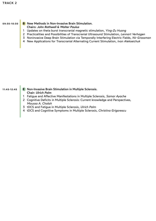#### **09:30-10:30**

#### **B** New Methods in Non-Invasive Brain Stimulation.

#### Chairs: *John Rothwell & Walter Paulus*

- 1 Updates on theta burst transcranial magnetic stimulation, *Ying-Zu Huang*
- 2 Practicalities and Possibilities of Transcranial Ultrasound Stimulation, *Lennart Verhagen*
- 3 Noninvasive Deep Brain Stimulation via Temporally Interfering Electric Fields, *Nir Grossman*
- 4 New Applications for Transcranial Alternating Current Stimulation, *Ivan Alekseichuk*

#### **11:45-12:45**

#### **E** Non-Invasive Brain Stimulation in Multiple Sclerosis. Chair: *Ulrich Palm*

- 1 Fatigue and Affective Manifestations in Multiple Sclerosis, *Samar Ayache*
- 2 Cognitive Deficits in Multiple Sclerosis: Current knowledge and Perspectives,  *Moussa A. Chalah*
- 3 tDCS and Fatigue in Multiple Sclerosis, *Ulrich Palm*
- 4 tDCS and Cognitive Symptoms in Multiple Sclerosis, *Christina Grigorescu*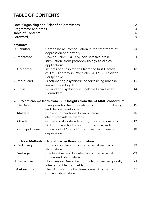### TABLE OF CONTENTS

| Programme and times<br><b>Table of Contents</b><br>Foreword | Local Organizing and Scientific Committees                                                                        | $\overline{c}$<br>$\overline{4}$<br>6<br>9 |
|-------------------------------------------------------------|-------------------------------------------------------------------------------------------------------------------|--------------------------------------------|
| Keynotes                                                    |                                                                                                                   |                                            |
| D. Schutter                                                 | Cerebellar neuromodulation in the treatment of<br>depression and anxiety                                          | 10                                         |
| A. Mantovani                                                | How to unlock OCD by non-invasive brain<br>stimulation: from pathophysiology to clinical<br>applications          | 11                                         |
| L. Carpenter                                                | Insights and Inspirations from the first Decade<br>of TMS Therapy in Psychiatry: A TMS Clinician's<br>Perspective | 12                                         |
| A. Marquand                                                 | Fractionating psychiatric cohorts using machine<br>learning and big data                                          | 13                                         |
| A. Etkin                                                    | Grounding Psychiatry in Scalable Brain-Based<br><b>Biomarkers</b>                                                 | 14                                         |
| А                                                           | What can we learn from ECT: Insights from the GEMRIC consortium                                                   |                                            |
| Z. De Deng                                                  | Using electric field modeling to inform ECT dosing<br>and device development                                      | 15                                         |
| P. Mulders                                                  | Current connections: brain patterns in<br>electroconvulsive therapy                                               | 16                                         |
| L. Oltedal                                                  | Global collaboration to study brain changes after<br>ECT - current findings and future prospects                  | 17                                         |
| P. van Eijndhoven                                           | Efficacy of rTMS vs ECT for treatment resistant<br>depression                                                     | 18                                         |
| в                                                           | New Methods in Non-Invasive Brain Stimulation                                                                     |                                            |
| Y. Zu Huang                                                 | Updates on theta burst transcranial magnetic<br>stimulation                                                       | 19                                         |
| L. Verhagen                                                 | Practicalities and Possibilities of Transcranial<br>Ultrasound Stimulation                                        | 20                                         |
| N. Grossman                                                 | Noninvasive Deep Brain Stimulation via Temporally<br>Interfering Electric Fields                                  | 21                                         |
| I. Alekseichuk                                              | New Applications for Transcranial Alternating<br><b>Current Stimulation</b>                                       | 22                                         |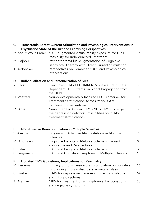| C                    | Transcranial Direct Current Stimulation and Psychological Interventions in<br>Psychiatry: State of the Art and Promising Perspectives |    |
|----------------------|---------------------------------------------------------------------------------------------------------------------------------------|----|
| M. van 't Wout-Frank | tDCS-augmented virtual reality exposure for PTSD:<br>Possibility for Individualized Treatment                                         | 23 |
| M. Bajbouj           | PsychotherapyPlus: Augmentation of Cognitive-<br>Behavioral Therapy with Direct Current Stimulation                                   | 24 |
| J. Dedoncker         | Perspectives on Combined tDCS and Psychological<br>Interventions                                                                      | 25 |
| D                    | Individualization and Personalization of NIBS                                                                                         |    |
| A. Sack              | Concurrent TMS-EEG-fMRI to Visualize Brain-State<br>Dependent iTBS Effects on Signal Propagation from<br>the DLPFC                    | 26 |
| H. Voetterl          | Neurodevelopmentally Inspired EEG Biomarker for<br>Treatment Stratification Across Various Anti-<br>depressant Interventions          | 27 |
| M. Arns              | Neuro-Cardiac-Guided TMS (NCG-TMS) to target<br>the depression network: Possibilities for rTMS<br>treatment stratification?           | 28 |
| Е                    | Non-Invasive Brain Stimulation in Multiple Sclerosis                                                                                  |    |
| S. Ayache            | Fatigue and Affective Manifestations in Multiple<br>Sclerosis                                                                         | 29 |
| M. A. Chalah         | Cognitive Deficits in Multiple Sclerosis: Current<br>knowledge and Perspectives                                                       | 30 |
| U. Palm              | tDCS and Fatigue in Multiple Sclerosis                                                                                                | 31 |
| C. Grigorescu        | tDCS and Cognitive Symptoms in Multiple Sclerosis                                                                                     | 32 |
| F                    | <b>Updated TMS Guidelines, Implications for Psychiatry</b>                                                                            |    |
| M. Begemann          | Efficacy of non-invasive brain stimulation on cognitive<br>functioning in brain disorders: a meta-analysis                            | 33 |
| C. Baeken            | rTMS for depressive disorders: current knowledge<br>and future directions                                                             | 34 |
| A. Aleman            | NIBS for treatment of schizophrenia: hallucinations<br>and negative symptoms                                                          | 35 |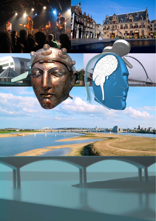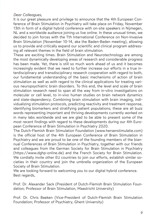#### *Dear Colleagues,*

It is our great pleasure and privilege to announce that the 4th European Conference of Brain Stimulation in Psychiatry will take place on Friday, November 13th in form of a digital hybrid conference with on-site speakers in Nijmegen, NL and a worldwide audience joining us live online. In these unusual times, we decided to join forces with the 7th International Conference on Non-Invasive Brain Stimulation (November 10-14, aka the Baden-Baden meeting), allowing us to provide and critically expand our scientific and clinical program addressing all relevant themes in the field of brain stimulation.

These are exciting times. Brain Stimulation and Neurotechnology are among the most dynamically developing areas of research and considerable progress has been made. Yet, there is still so much work ahead of us and it becomes increasingly evident that we need to further increase our efforts in a true interdisciplinary and transdisciplinary research cooperation with regard to both, our fundamental understanding of the basic mechanisms of action of brain stimulation as well as with regard to the clinical applications for treating various neuropsychiatric brain disorders. To this end, the level and scale of brain stimulation research need to span all the way from in-vitro investigations on molecular or cell level, to in-vivo human studies on brain network dynamics and state-dependency. Combining brain stimulation with brain imaging, individualizing stimulation protocols, predicting reactivity and treatment response, identifying biomarkers and stratifying patient populations; these are all buzz words representing important and thriving developments currently worked on in many labs worldwide and we are glad to be able to present some of the most recent findings with regard to these developments during our 4th European Conference of Brain Stimulation in Psychiatry 2020.

The Dutch-Flemish Brain Stimulation Foundation (www.hersenstimulatie.com) is the official host of the 4th European Conference of Brain Stimulation in Psychiatry and we are proud to be one of the founding members of the biannual Conferences of Brain Stimulation in Psychiatry, together with our friends and colleagues from the German Society for Brain Stimulation in Psychiatry (https://www.dghp-online.de) and the French Society for Brain Stimulation. We cordially invite other EU countries to join our efforts, establish similar societies in their country and join the umbrella organization of the European Society of Brain Stimulation.

We are looking forward to welcoming you to our digital hybrid conference. Best regards,

Prof. Dr. Alexander Sack (President of Dutch-Flemish Brain Stimulation Foundation; Professor of Brain Stimulation, Maastricht University)

Prof. Dr. Chris Baeken (Vice-President of Dutch-Flemish Brain Stimulation Foundation; Professor of Psychiatry, Ghent University)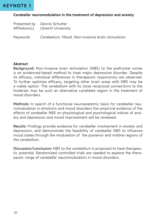#### KEYNOTE 1

#### Cerebellar neuromodulation in the treatment of depression and anxiety

|          | Presented by Dennis Schutter<br>Affiliation(s) Utrecht University |
|----------|-------------------------------------------------------------------|
| Keywords | Cerebellum, Mood, Non-invasive brain stimulation                  |

#### Abstract

Background: Non-invasive brain stimulation (NBS) to the prefrontal cortex is an evidenced-based method to treat major depressive disorder. Despite its efficacy, individual differences in therapeutic responsivity are observed. To further optimize efficacy, targeting other brain areas with NBS may be a viable option. The cerebellum with its close reciprocal connections to the forebrain may be such an alternative candidate region in the treatment of mood disorders.

Methods: In search of a functional neuroanatomic basis for cerebellar neuromodulation in emotions and mood disorders the empirical evidence of the effects of cerebellar NBS on physiological and psychological indices of anxiety and depression and mood improvement will be reviewed.

Results: Findings provide evidence for cerebellar involvement in anxiety and depression, and demonstrate the feasibility of cerebellar NBS to influence mood states through the modulation of the posterior and midline regions of the cerebellum.

Discussion/conclusion: NBS to the cerebellum is proposed to have therapeutic potential. Randomized controlled trials are needed to explore the therapeutic range of cerebellar neuromodulation in mood disorders.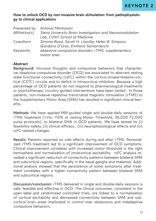#### How to unlock OCD by non-invasive brain stimulation: from pathophysiology to clinical applications

| Presented by    | Antonio Mantovani                                        |
|-----------------|----------------------------------------------------------|
| Affiliation(s)  | Siena University Brain Investigation and Neuromodulation |
|                 | Lab, CUNY School of Medicine                             |
| Coauthors       | Simone Rossi, Sarah H. Lisanby, Helen B. Simpson,        |
|                 | Giordano D'Urso, Emiliano Santarnecchi                   |
| <b>Keywords</b> | obsessive compulsive disorder; rTMS; supplementary       |
|                 | motor area                                               |

#### Abstract

Background: Intrusive thoughts and compulsive behaviors that characterize obsessive compulsive disorder (OCD) are associated to aberrant resting state functional connectivity (rsFC) within the cortico-striatal-thalamo-cortical (CSTC) circuits and to deficit in intracortical inhibition. Because a high percentage of OCD patients do not respond to pharmacological treatments or psychotherapy, circuitry guided interventions have been tested . In those patients, non-invasive repetitive transcranial magnetic stimulation (rTMS) to the Supplementary Motor Area (SMA) has resulted in significant clinical benefits.

Methods: We have applied MRI-guided single and double-daily sessions of rTMS treatment (1-Hz; 110% of resting Motor Threshold; 36,000-72,000 pulse protocols), to bilateral SMA in OCD patients. We have tested its (i) feasibility-safety, (ii) clinical efficacy , (iii) neurophysiological effects and (iv) rsFC related changes.

Results: Patients reported no side effects during and after rTMS. Personalized rTMS treatment led to a significant improvement of OCD symptoms. Clinical improvement correlates with increased motor threshold in the right hemisphere and normalization of intracortical excitability. rsFC analysis revealed a significant reduction of connectivity patterns between bilateral SMA and subcortical regions, specifically in the basal ganglia and thalamus. Additional analysis showed that the persistence of some symptoms after treatment correlates with a higher connectivity pattern between bilateral SMA and subcortical regions.

Discussion/conclusion: rTMS delivered in single and double-daily sessions is safe, feasible and effective in OCD. The clinical outcomes, consistent in the open-label and randomized controlled trials, are linked to a normalization of cortical excitability and decreased connectivity between SMA and subcortical brain areas implicated in control over obsessions and maladaptive compulsive behaviors.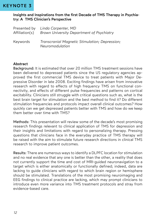#### KEYNOTE 3

#### Insights and Inspirations from the first Decade of TMS Therapy in Psychiatry: A TMS Clinician's Perspective

| Presented by   | Linda Carpenter, MD                                               |
|----------------|-------------------------------------------------------------------|
| Affiliation(s) | Brown University Department of Psychiatry                         |
| Keywords       | Transcranial Magnetic Stimulation; Depression;<br>Neuromodulation |

#### Abstract

Background: It is estimated that over 20 million TMS treatment sessions have been delivered to depressed patients since the US regulatory agencies approved the first commercial TMS device to treat patients with Major Depressive Disorder in late 2008. Exciting findings have arisen from innovative research with regard to effects of high frequency TMS on functional connectivity, and effects of different pulse frequencies and patterns on cortical excitability. Clinicians still struggle with critical questions such as, what is the best brain target for stimulation and the best method to find it? Do different stimulation frequencies and protocols impact overall clinical outcomes? How quickly can we get depressed patients better with TMS and how do we keep them better over time with TMS?

Methods: This presentation will review some of the decade's most promising research findings relevant to clinical application of TMS for depression and their insights and limitations with regard to personalizing therapy. Pressing questions that clinicians face in the everyday practice of TMS therapy will be raised with the aim to stimulate future research directions in clinical TMS research to improve patient outcomes.

Results: There are numerous ways to identify a DLPFC location for stimulation and no real evidence that any one is better than the other, a reality that does not currently support the time and cost of MRI-guided neuronavigation to a target which is either anatomically or functionally defined; indeed, data are lacking to guide clinicians with regard to which brain region or hemisphere should be stimulated. Translations of the most promising neuroimaging and EEG findings to clinical practice are lacking, which may prompt clinicians to introduce even more variance into TMS treatment protocols and stray from evidence-based care.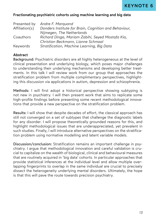#### Fractionating psychiatric cohorts using machine learning and big data

| Presented by   | Andre F. Marquand                                     |
|----------------|-------------------------------------------------------|
| Affiliation(s) | Donders Institute for Brain, Cognition and Behaviour, |
|                | Nijmegen, The Netherlands                             |
| Coauthors      | Richard Dinga, Mariam Zabihi, Seyed Mostafa Kia,      |
|                | Christian Beckmann, Lianne Schmaal                    |
| Keywords       | Stratification, Machine Learning, Big Data            |

#### Abstract

Background: Psychiatric disorders are all highly heterogeneous at the level of clinical presentation and underlying biology, which poses major challenges to understanding their underlying mechanisms and developing better treatments. In this talk I will review work from our group that approaches the stratification problem from multiple complimentary perspectives, highlighting this discussion via applications in autism, depression and schizophrenia.

Methods: I will first adopt a historical perspective showing subtyping is not new in psychiatry. I will then present work that aims to replicate some high-profile findings before presenting some recent methodological innovations that provide a new perspective on the stratification problem.

Results: I will show that despite decades of effort, the classical approach has still not converged on a set of subtypes that challenge the diagnostic labels for any disorder. I will propose theoretically grounded reasons for this, and highlight methodological issues that are underappreciated, yet prevalent in such studies. Finally, I will introduce alternative perspectives on the stratification problem using normative modelling and latent variable models.

Discussion/conclusion: Stratification remains an important challenge in psychiatry. I argue that methodological innovation and careful validation is crucial to capitalize on the wealth of biological, clinical and behavioural measures that are routinely acquired in 'big data' cohorts. In particular approaches that provide statistical inferences at the individual level and allow multiple overlapping fingerprints to overlap in the same individual are crucial to precisely dissect the heterogeneity underlying mental disorders. Ultimately, the hope is that this will pave the route towards precision psychiatry.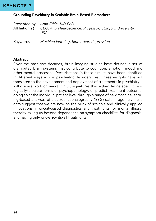#### KEYNOTE 7

#### Grounding Psychiatry in Scalable Brain-Based Biomarkers

| Presented by Amit Etkin, MD PhD                                                 |
|---------------------------------------------------------------------------------|
| Affiliation(s) CEO, Alto Neuroscience. Professor, Stanford University,<br>LISA. |
|                                                                                 |

Keywords *Machine learning, biomarker, depression*

#### Abstract

Over the past two decades, brain imaging studies have defined a set of distributed brain systems that contribute to cognition, emotion, mood and other mental processes. Perturbations in these circuits have been identified in different ways across psychiatric disorders. Yet, these insights have not translated to the development and deployment of treatments in psychiatry. I will discuss work on neural circuit signatures that either define specific biologically-discrete forms of psychopathology, or predict treatment outcome, doing so at the individual patient level through a range of new machine learning-based analyses of electroencephalography (EEG) data. Together, these data suggest that we are now on the brink of scalable and clinically-applied innovations in circuit-based diagnostics and treatments for mental illness, thereby taking us beyond dependence on symptom checklists for diagnosis, and having only one-size-fits-all treatments.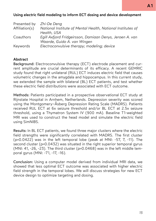#### Using electric field modeling to inform ECT dosing and device development

| Presented by    | Zhi-De Deng                                                 |
|-----------------|-------------------------------------------------------------|
| Affiliation(s)  | National Institute of Mental Health, National Institutes of |
|                 | Health, USA                                                 |
| Coauthors       | Egill Axfjord Fridgeirsson, Damiaan Denys, Jeroen A. van    |
|                 | Waarde, Guido A. van Wingen                                 |
| <b>Keywords</b> | Electroconvulsive therapy; modeling; device                 |

#### Abstract

Background: Electroconvulsive therapy (ECT) electrode placement and current amplitude are crucial determinants of its efficacy. A recent GEMRIC study found that right unilateral (RUL) ECT induces electric field that causes volumetric changes in the amygdala and hippocampus. In this current study, we extended the sample with bilateral (BL) ECT patients, and test whether these electric field distributions were associated with ECT outcome.

Methods: Patients participated in a prospective observational ECT study at Rijnstate Hospital in Arnhem, Netherlands. Depression severity was scored using the Montgomery–Åsberg Depression Rating Scale (MADRS). Patients received RUL ECT at 6x seizure threshold and/or BL ECT at 2.5x seizure threshold, using a Thymatron System IV (900 mA). Baseline T1-weighted MRI was used to construct the head model and simulate the electric field using SimNIBS.

Results: In BL ECT patients, we found three major clusters where the electric field strengths were significantly correlated with MADRS. The first cluster (p=0.0422) was in the left temporal lobe (peak at MNI: -57, 7, -11). The second cluster (p=0.0432) was situated in the right superior temporal gyrus (MNI: 41,  $-26$ ,  $-23$ ). The third cluster ( $p=0.0468$ ) was in the left middle temporal gyrus (MNI: -71, -17, -16).

Conclusion: Using a computer model derived from individual MRI data, we showed that less optimal ECT outcome was associated with higher electric field strength in the temporal lobes. We will discuss strategies for new ECT device design to optimize targeting and dosing.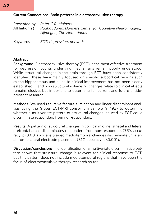#### Current Connections: Brain patterns in electroconvulsive therapy

|                | Presented by Peter C.R. Mulders                                                     |
|----------------|-------------------------------------------------------------------------------------|
| Affiliation(s) | Radboudumc, Donders Center for Cognitive Neuroimaging,<br>Nijmegen, The Netherlands |

Keywords *ECT, depression, network*

#### Abstract

Background: Electroconvulsive therapy (ECT) is the most effective treatment for depression but its underlying mechanisms remain poorly understood. While structural changes in the brain through ECT have been consistently identified, these have mainly focused on specific subcortical regions such as the hippocampus and a link to clinical improvement has not been clearly established. If and how structural volumetric changes relate to clinical effects remains elusive, but important to determine for current and future antidepressant research.

Methods: We used recursive feature elimination and linear discriminant analysis using the Global ECT-MRI consortium sample (n=192) to determine whether a multivariate pattern of structural changes induced by ECT could discriminate responders from non-responders.

Results: A pattern of structural changes in cortical midline, striatal and lateral prefrontal areas discriminates responders from non-responders (75% accuracy, p<0.001) while left-sided mediotemporal changes discriminate unilateral from bilateral electrode placement (81% accuracy, p<0.001).

Discussion/conclusion: The identification of a multivariate discriminative pattern shows that structural change is relevant for clinical response to ECT, but this pattern does not include mediotemporal regions that have been the focus of electroconvulsive therapy research so far.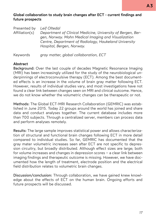#### Global collaboration to study brain changes after ECT - current findings and future prospects

Presented by *Leif Oltedal* Affiliation(s) *Department of Clinical Medicine, University of Bergen, Ber gen, Norway. Mohn Medical Imaging and Visualization Centre, Department of Radiology, Haukeland University Hospital, Bergen, Norway.*

Keywords *gray matter, global collaboration, ECT*

#### Abstract

Background: Over the last couple of decades Magnetic Resonance Imaging (MRI) has been increasingly utilized for the study of the neurobiological underpinnings of electroconvulsive therapy (ECT). Among the best documented effects is an increase in the volume of brain gray matter following ECT. However, results of individual studies vary, and most investigations have not found a clear link between changes seen on MRI and clinical outcome. Hence, we do not know whether the volumetric changes can be therapeutic or not.

Methods: The Global ECT-MRI Research Collaboration (GEMRIC) was established in June 2015. Today 22 groups around the world has joined and share data and conduct analyses together. The current database includes more than 700 subjects. Through a centralized server, members can process data and perform analyses remotely.

Results: The large sample improves statistical power and allows characterization of structural and functional brain changes following ECT in more detail compared to individual studies. So far, GEMRIC has documented that the gray mater volumetric increases seen after ECT are not specific to depression circuitry, but broadly distributed. Although effect sizes are large; both for volume increases and changes in depression scores – a clear link between imaging findings and therapeutic outcome is missing. However, we have documented how the length of treatment, electrode position and the electrical field distribution relates to volumetric brain changes.

Discussion/conclusion: Through collaboration, we have gained knew knowledge about the effects of ECT on the human brain. Ongoing efforts and future prospects will be discussed.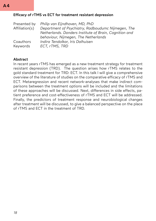#### Efficacy of rTMS vs ECT for treatment resistant depression

| Presented by   | Philip van Eijndhoven, MD, PhD                         |
|----------------|--------------------------------------------------------|
| Affiliation(s) | Department of Psychiatry, Radboudumc Nijmegen, The     |
|                | Netherlands. Donders Institute of Brain, Cognition and |
|                | behaviour, Nijmegen, The Netherlands                   |
| Coauthors      | Indira Tendolkar, Iris Dalhuisen                       |
| Keywords       | ECT, rTMS, TRD                                         |

#### Abstract

In recent years rTMS has emerged as a new treatment strategy for treatment resistant depression (TRD). The question arises how rTMS relates to the gold standard treatment for TRD: ECT. In this talk I will give a comprehensive overview of the literature of studies on the comparative efficacy of rTMS and ECT. Metaregression and recent network-analyses that make indirect comparisons between the treatment options will be included and the limitations of these approaches will be discussed. Next, differences in side effects, patient preference and cost-effectiveness of rTMS and ECT will be addressed. Finally, the predictors of treatment response and neurobiological changes after treatment will be discussed, to give a balanced perspective on the place of rTMS and ECT in the treatment of TRD.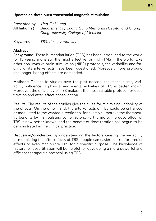#### Updates on theta burst transcranial magnetic stimulation

|                | Presented by Ying-Zu Huang                                                                         |
|----------------|----------------------------------------------------------------------------------------------------|
| Affiliation(s) | Department of Chang Gung Memorial Hospital and Chang<br><b>Gung University College of Medicine</b> |
|                |                                                                                                    |

Keywords *TBS, dose, variability*

#### Abstract

Background: Theta burst stimulation (TBS) has been introduced to the world for 15 years, and is still the most effective form of rTMS in the world. Like other non-invasive brain stimulation (NIBS) protocols, the variability and fragility of its after-effects have been questioned. Moreover, more profound and longer-lasting effects are demanded.

Methods: Thanks to studies over the past decade, the mechanisms, variability, influence of physical and mental activities of TBS is better known. Moreover, the efficiency of TBS makes it the most suitable protocol for dose titration and after-effect consolidation.

Results: The results of the studies give the clues for minimising variability of the effects. On the other hand, the after-effects of TBS could be enhanced or modulated to the wanted direction to, for example, improve the therapeutic benefits by manipulating some factors. Furthermore, the dose effect of TBS is now better known, and the benefit of dose titration has begun to be demonstrated in the clinical practice.

Discussion/conclusion: By understanding the factors causing the variability or modulating the after-effects of TBS, people can easier control for predict effects or even manipulate TBS for a specific purpose. The knowledge of factors for dose titration will be helpful for developing a more powerful and efficient therapeutic protocol using TBS.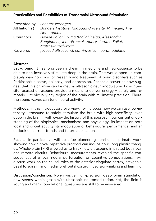#### Practicalities and Possibilities of Transcranial Ultrasound Stimulation

| Presented by   | Lennart Verhagen                                     |
|----------------|------------------------------------------------------|
| Affiliation(s) | Donders Institute, Radboud University, Nijmegen, The |
|                | <b>Netherlands</b>                                   |
| Coauthors      | Davide Folloni, Nima Khalighinejad, Alessandro       |
|                | Bongioanni, Jean-Francois Aubry, Jerome Sallet,      |
|                | Matthew Rushworth                                    |
| Keywords       | focused ultrasound, non-invasive, neuromodulation    |

#### Abstract

Background: It has long been a dream in medicine and neuroscience to be able to non-invasively stimulate deep in the brain. This would open up completely new horizons for research and treatment of brain disorders such as Parkinson's disease, epilepsy, and depression. Recent discoveries now suggest that this promise can be met by ultrasonic neuromodulation. Low-intensity focused ultrasound provide a means to deliver energy – safely and remotely – to virtually any region of the brain with millimetre precision. There, the sound waves can tune neural activity.

Methods: In this introductory overview, I will discuss how we can use low-intensity ultrasound to safely stimulate the brain with high specificity, even deep in the brain. I will review the history of this approach, our current understanding of the biophysical mechanisms and physiology, its impact on both local and circuit activity, its modulation of behavioural performance, and an outlook on current trends and future applications.

Results: In particular, I will describe pioneering non-human primate work, showing how a novel repetitive protocol can induce hour-long plastic changes. Whole-brain fMRI allowed us to track how ultrasound impacted both local and remote circuits. Behavioural measurements revealed the specific consequences of a focal neural perturbation on cognitive computations. I will discuss work on the causal roles of the anterior cingulate cortex, amygdala, basal forebrain, and medial prefrontal cortex in decision-making and learning.

Discussion/conclusion: Non-invasive high-precision deep brain stimulation now seems within grasp with ultrasonic neuromodulation. Yet, the field is young and many foundational questions are still to be answered.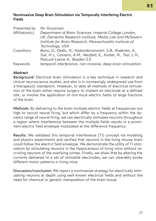#### Noninvasive Deep Brain Stimulation via Temporally Interfering Electric Fields

| Presented by   | Nir Grossman                                                   |
|----------------|----------------------------------------------------------------|
| Affiliation(s) | Department of Brain Sciences, Imperial College London,         |
|                | UK. Dementia Research Institute, Media Lab and McGovern        |
|                | Institute for Brain Research, Massachusetts Institute of       |
|                | Technology, USA                                                |
| Coauthors      | Bono, D., Dedic, N., Kodandaramaiah, S.B., Rudenko, A.,        |
|                | Suk, H.J., Cassara, A.M., Neufeld, E., Kuster, N., Tsai, L.H., |
|                | Pascual-Leone A., Boyden S.E                                   |
| Keywords       | temporal interference, non-invasive, deep brain stimulation    |

#### Abstract

Background: Electrical brain stimulation is a key technique in research and clinical neuroscience studies, and also is in increasingly widespread use from a therapeutic standpoint. However, to date all methods of electrical stimulation of the brain either require surgery to implant an electrode at a defined site, or involve the application of non-focal electric fields to large fractions of the brain.

Methods: By delivering to the brain multiple electric fields at frequencies too high to recruit neural firing, but which differ by a frequency within the dynamic range of neural firing, we can electrically stimulate neurons throughout a region where interference between the multiple fields results in a prominent electric field envelope modulated at the difference frequency.

Results: We validated this temporal interference (TI) concept via modeling and physics experiments and verified that neurons in the living mouse brain could follow the electric field envelope. We demonstrate the utility of TI stimulation by stimulating neurons in the hippocampus of living mice without recruiting neurons of the overlying cortex. Finally, we show that by altering the currents delivered to a set of immobile electrodes, we can steerably evoke different motor patterns in living mice.

Discussion/conclusion: We report a noninvasive strategy for electrically stimulating neurons at depth using well-known electrical fields and without the need for chemical or genetic manipulation of the brain tissue.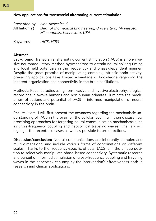#### New applications for transcranial alternating current stimulation

Presented by *Ivan Alekseichuk* Dept of Biomedical Engineering, University of Minnesota,  *Minneapolis, Minnesota, USA*

Keywords *tACS, NIBS*

#### Abstract

Background: Transcranial alternating current stimulation (tACS) is a non-invasive neuromodulatory method hypothesized to entrain neural spiking timing and local field potentials in the frequency- and phase-dependent manner. Despite the great promise of manipulating complex, intrinsic brain activity, prevailing applications take limited advantage of knowledge regarding the inherent organization and connectivity in the brain oscillations.

Methods: Recent studies using non-invasive and invasive electrophysiological recordings in awake humans and non-human primates illuminate the mechanism of actions and potential of tACS in informed manipulation of neural connectivity in the brain.

Results: Here, I will first present the advances regarding the mechanistic understanding of tACS in the brain on the cellular level. I will then discuss new promising approaches for targeting neural communication mechanisms such as cross-frequency coupling and neocortical traveling waves. The talk will highlight the recent use cases as well as possible future directions.

Discussion/conclusion: Neural communications are inherently complex and multi-dimensional and include various forms of coordinations on different scales. Thanks to the frequency-specific effects, tACS is in the unique position to selectively manipulate phase-based connectivity. Systematic research and pursuit of informed stimulation of cross-frequency coupling and traveling waves in the neocortex can amplify the intervention's effectiveness both in research and clinical applications.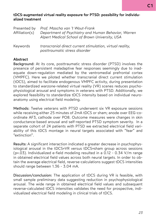#### tDCS-augmented virtual reality exposure for PTSD: possibility for individualized treatment

| Presented by<br>Affiliation(s) | Prof. Mascha van 't Wout-Frank<br>Department of Psychiatry and Human Behavior, Warren<br>Alpert Medical School of Brown University, USA |
|--------------------------------|-----------------------------------------------------------------------------------------------------------------------------------------|
| <b>Keywords</b>                | transcranial direct current stimulation, virtual reality,<br>posttraumatic stress disorder                                              |

#### Abstract

Background: At its core, posttraumatic stress disorder (PTSD) involves the presence of persistent maladaptive fear responses seemingly due to inadequate down-regulation mediated by the ventromedial prefrontal cortex (VMPFC). Here we piloted whether transcranial direct current stimulation (tDCS), aimed to facilitate endogenous VMPFC activity, during presentation to standardized warzone-related virtual reality (VR) scenes reduces psychophysiological arousal and symptoms in veterans with PTSD. Additionally, we explored feasibility to standardize tDCS intensity based on individual neuroanatomy using electrical field modeling.

Methods: Twelve veterans with PTSD underwent six VR exposure sessions while receiving either 25 minutes of 2mA tDCS or sham; anode over EEG-coordinate AF3, cathode over PO8. Outcome measures were changes in skin conductance-based arousal and self-reported PTSD symptom severity. In a separate cohort of 24 patients with PTSD we extracted electrical field variability of this tDCS montage in neural targets associated with "fear" and "extinction".

Results: A significant interaction indicated a greater decrease in psychophysiological arousal in the tDCS+VR versus tDCS+sham group across sessions (p=.03). Individualized e-field modeling resulted in a 0.12 - 0.34 V/m range in obtained electrical field values across both neural targets. In order to obtain the average electrical field, reverse-calculations suggest tDCS intensities should range between 1.36 - 3.04 mA.

Discussion/conclusion: The application of tDCS during VR is feasible, with small sample preliminary data suggesting reduction in psychophysiological arousal. The wide range in obtained electrical field values and subsequent reverse-calculated tDCS intensities validates the need for prospective, individualized electrical field modeling in clinical trials of tDCS.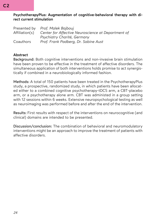|                | Presented by Prof. Malek Bajbouj                   |
|----------------|----------------------------------------------------|
| Affiliation(s) | Center for Affective Neuroscience at Department of |
|                | Psychiatry Charité, Germany                        |
| Coauthors      | Prof. Frank Padberg, Dr. Sabine Aust               |

#### Abstract

Background: Both cognitive interventions and non-invasive brain stimulation have been proven to be effective in the treatment of affective disorders. The simultaneous application of both interventions holds promise to act synergistically if combined in a neurobiologically informed fashion.

Methods: A total of 150 patients have been treated in the PsychotherapyPlus study, a prospective, randomized study, in which patients have been allocated either to a combined cognitive psychotherapy-tDCS arm, a CBT-placebo arm, or a psychotherapy alone arm. CBT was administed in a group setting with 12 sessions within 6 weeks. Extensive neuropsychological testing as well as neuroimaging was performed before and after the end of the intervention.

Results: First results with respect of the interventions on neurocognitive (and clinical) domains are intended to be presented.

Discussion/conclusion: The combination of behavioral and neuromodulatory interventions might be an approach to improve the treatment of patients with affective disorders.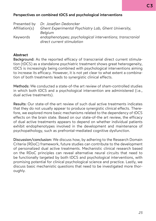#### Perspectives on combined tDCS and psychological interventions

|                 | Presented by Dr. Josefien Dedoncker                       |
|-----------------|-----------------------------------------------------------|
| Affiliation(s)  | Ghent Experimental Psychiatry Lab, Ghent University,      |
|                 | Belgium                                                   |
| <b>Keywords</b> | endophenotypes; psychological interventions; transcranial |
|                 | direct current stimulation                                |

#### Abstract

Background: As the reported efficacy of transcranial direct current stimulation (tDCS) as a standalone psychiatric treatment shows great heterogeneity, tDCS is increasingly being combined with psychological interventions aiming to increase its efficacy. However, it is not yet clear to what extent a combination of both treatments leads to synergistic clinical effects.

Methods: We conducted a state-of-the art review of sham-controlled studies in which both tDCS and a psychological intervention are administered (i.e., dual active treatments).

Results: Our state-of-the-art review of such dual active treatments indicates that they do not usually appear to produce synergistic clinical effects. Therefore, we explored more basic mechanisms related to the dependency of tDCS effects on the brain state. Based on our state-of-the art review, the efficacy of dual active treatments appears to depend on whether individual patients exhibit endophenotypes involved in the development and maintenance of psychopathology, such as prefrontal-mediated cognitive dysfunction.

Discussion/conclusion: We discuss how, by adhering to the Research Domain Criteria (RDoC) framework, future studies can contribute to the development of personalized dual active treatments. Mechanistic clinical research based on the RDoC principles can reveal alternative neural circuits that need to be functionally targeted by both tDCS and psychological interventions, with promising potential for clinical psychological science and practice. Lastly, we discuss basic mechanistic questions that need to be investigated more thoroughly.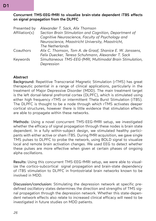#### Concurrent TMS-EEG-fMRI to visualize brain-state dependent iTBS effects on signal propagation from the DLPFC

| Alexander T. Sack, Alix Thomson                                        |
|------------------------------------------------------------------------|
| Section Brain Stimulation and Cognition, Department of                 |
| Cognitive Neuroscience, Faculty of Psychology and                      |
| Neuroscience, Maastricht University, Maastricht,                       |
| The Netherlands                                                        |
| Alix C. Thomson, Tom A. de Graaf, Shanice E. W. Janssens,              |
| Felix Duecker, Teresa Schuhmann, Alexander T. Sack                     |
| Simultaneous TMS-EEG-fMRI, Multimodal Brain Stimulation,<br>Depression |
|                                                                        |

#### Abstract

Background: Repetitive Transcranial Magnetic Stimulation (rTMS) has great therapeutic potential in a range of clinical applications, particularly in the treatment of Major Depressive Disorder (MDD). The main treatment target is the left dorsal-lateral prefrontal cortex (DLPFC), which is stimulated using either high frequency rTMS or intermittent Theta Burst Stimulation (iTBS). The DLPFC is thought to be a node through which rTMS activates deeper cortical structures, however there is little evidence that stimulation effects are able to propagate within these networks.

Methods: Using a novel concurrent TMS-EEG-fMRI setup, we investigated whether the efficacy of signal propagation through these nodes is brain state dependent. In a fully within-subject design, we stimulated healthy participants with either active or sham iTBS. During fMRI acquisition, we gave single TMS pulses to DLPFC to probe the network, using BOLD signal to visualize local and remote brain activation changes. We used EEG to detect whether these pulses are more effective when given at certain phases of ongoing alpha oscillations.

Results: Using this concurrent TMS-EEG-fMRI setup, we were able to visualize the cortico-subcortical signal propagation and brain-state dependency of iTBS stimulation to DLPFC in frontostriatal brain networks known to be involved in MDD.

Discussion/conclusion: Stimulating the depression network at specific predefined oscillatory states determines the direction and strengths of TMS signal propagation through the depression network. Whether this state-dependent network effects also relate to increased clinical efficacy will need to be investigated in future studies on MDD patients.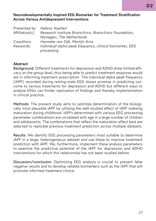#### Neurodevelopmentally Inspired EEG Biomarker for Treatment Stratification Across Various Antidepressant Interventions

| Presented by   | Helena Voetterl                                           |
|----------------|-----------------------------------------------------------|
| Affiliation(s) | Research Institute Brainclinics, Brainclinics Foundation, |
|                | Nijmegen, The Netherlands                                 |
| Coauthors      | Hanneke van Dijk, Martijn Arns                            |
| Keywords       | Individual alpha peak frequency, clinical biomarker, EEG  |
|                | processing                                                |

#### Abstract

Background: Different treatments for depression and ADHD show limited efficacy on the group level, thus being able to predict treatment response would aid in informing treatment prescription. The individual alpha peak frequency (iAPF) recorded during resting-state EEG shows promise in predicting outcome to various treatments for depression and ADHD but different ways to analyze EEGs can hinder replication of findings and thereby implementation in clinical practice.

Methods: The present study aims to optimize determination of the biologically most plausible iAPF by utilizing the well-studied effect of iAPF indexing maturation during childhood. IAPFs determined with various EEG processing parameter combinations are correlated with age in a large number of children and adolescents. The combinations that reflect the maturation effect best are selected to replicate previous treatment prediction across multiple datasets.

Results: We identify EEG processing parameters most suitable to determine iAPF in a large, heterogeneous dataset and use these to improve treatment prediction with iAPF. We, furthermore, implement these analysis parameters to examine the predictive potential of the iAPF for depression and ADHD interventions for which this relationship has not been studied before.

Discussion/conclusion: Optimizing EEG analysis is crucial to prevent false negative results and to develop reliable biomarkers such as the iAPF that will promote informed treatment choice.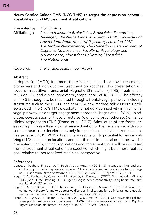#### Neuro-Cardiac-Guided TMS (NCG-TMS) to target the depression network: Possibilities for rTMS treatment stratification?

Presented by *Martijn Arns* Affiliation(s) *Research Institute Brainclinics, Brainclinics Foundation, Nijmegen, The Netherlands. Amsterdam UMC, University of Amsterdam, Department of Psychiatry, Location AMC, Amsterdam Neuroscience, The Netherlands. Department of Cognitive Neuroscience, Faculty of Psychology and Neuroscience, Maastricht University, Maastricht, The Netherlands*

Keywords *rTMS, depression, heart-brain*

#### Abstract

In depression (MDD) treatment there is a clear need for novel treatments, biomarkers and individualized treatment approaches. This presentation will focus on repetitive Transcranial Magnetic Stimulation (rTMS) treatment in MDD on EEG and clinical predictors (Krepel et al., 2018; 2019). The efficacy of rTMS is thought to be mediated through a frontal-vagal pathway, including structures such as the DLPFC and sgACC. A new method called Neuro-Cardiac-Guided TMS (NCG TMS), exploits the network connectivity in this frontal vagal pathway, as a target engagement approach (Iseger et al., 2019). In addition, co-activation of these structures (e.g. using psychotherapy) enhance clinical response to rTMS (Donse et al., 2017). Stimulation of pre-frontal areas using TMS results in downstream activation of the vagal nerve, with subsequent heart-rate deceleration, only for specific and individualized locations (Iseger et al., 2017; 2019). Preliminary results on its potential for individualizing rTMS stimulation locations and possible better clinical outcomes will be presented. Finally, clinical implications and implementations will be discussed from a 'treatment stratification' perspective, which might be a more realistic goal relative to 'personalized medicine' perspective.

#### References

- Donse, L., Padberg, F., Sack, A. T., Rush, A. J., & Arns, M. (2018). Simultaneous rTMS and psychotherapy in major depressive disorder: Clinical outcomes and predictors from a large naturalistic study. *Brain Stimulation,* 11(2), 337-345. doi:10.1016/j.brs.2017.11.004
- Iseger, T. A., Padberg, F., Kenemans, J. L., Gevirtz, R., & Arns, M. (2017). Neuro-Cardiac-Guided TMS (NCG-TMS): Probing DLPFC-sgACC-vagus nerve connectivity using heart rate--first results. *Brain Stimulation.*
- Iseger, T. A., van Bueren, N. E. R., Kenemans, J. L., Gevirtz, R., & Arns, M. (2019). A frontal-vagal network theory for major depressive disorder: Implications for optimizing neuromodulation technique. *Brain Stimulation.* doi:10.1016/j.brs.2019.10.006
- Krepel, N., Rush, A. J., Iseger, T. A., Sack, A. T., & Arns, M. (2019). Can psychological features predict antidepressant response to rTMS? A discovery-replication approach. *Psychological Medicine.* doi:https://doi.org/ 10.1017/S0033291718004191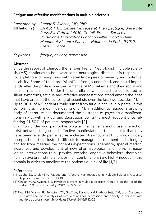#### Fatigue and affective manifestations in multiple sclerosis

Presented by *Samar S. Ayache, MD, PhD* Affiliation(s) *EA 4391, Excitabilité Nerveuse et Thérapeutique, Université Paris-Est-Créteil, 94010, Créteil, France. Service de Physiologie-Explorations Fonctionnelles, Hôpital Henri Mondor, Assistance Publique-Hôpitaux de Paris, 94010, Créteil, France*

Keywords *fatigue, anxiety, depression*

#### Abstract

Since the report of Charcot, the famous French Neurologist, multiple sclerosis (MS) continues to be a worrisome neurological disease. It is responsible for a plethora of symptoms with variable degrees of severity and potential disability. Some of them are "silent", often go unnoticed, and could importantly alter the professional performance of MS patients and their social and familial relationships. Under the umbrella of what could be considered as silent symptoms, fatigue and affective manifestations stand among the ones that have aroused the curiosity of scientists over the last two decades [1].

Up to 90 % of MS patients could suffer from fatigue and usually perceive this complaint as the most invalidating one [1]. In addition to fatigue, a growing body of literature has documented the existence of psychiatric manifestations in MS, with anxiety and depression being the most frequent ones, affecting 41-50% of patients, respectively [2].

Common underlying pathophysiological mechanisms and close interaction exist between fatigue and affective manifestations, to the point that they have been recently perceived as a cluster of symptoms [1]. It is now widely accepted that this cluster is difficult-to-manage, its treatment is challenging and far from meeting the patients expectations. Therefore, special medical awareness and development of new pharmacological and non-pharmacological interventions (e.g., physical exercise, cognitive behavioral therapies, noninvasive brain stimulation, or their combinations) are highly needed in this domain in order to ameliorate the patients quality of life [1,3].

#### References

- [1] Ayache SS, Chalah MA. Fatigue and Affective Manifestations in Multiple Sclerosis-A Cluster Approach. *Brain Sci.* 2019;10:10.
- [2] Chalah M.A., Ayache S.S. Psychiatric event in multiple sclerosis: Could it be the tip of the iceberg? *Braz. J. Psychiatry.* 2017;39:365–368.
- [3] Fiest KM, Walker JR, Bernstein CN, Graff LA, Zarychanski R, Abou-Setta AM, et al. Systematic review and meta-analysis of interventions for depression and anxiety in persons with multiple sclerosis. *Mult Scler Relat Disord.* 2016;5:12-26.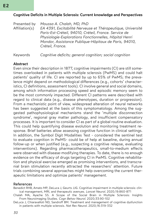#### Cognitive Deficits in Multiple Sclerosis: Current knowledge and Perspectives

Presented by *Moussa A. Chalah, MD, PhD* Affiliation(s) *EA 4391, Excitabilité Nerveuse et Thérapeutique, Université Paris-Est-Créteil, 94010, Créteil, France. Service de Physiologie-Explorations Fonctionnelles, Hôpital Henri Mondor, Assistance Publique-Hôpitaux de Paris, 94010, Créteil, France.*

Keywords *Cognitive deficits; general cognition; social cognition*

#### Abstract

Even since their description in 1877, cognitive impairments (CI) are still sometimes overlooked in patients with multiple sclerosis (PwMS) and could halt patients' quality of life. CI are reported by up to 65% of PwMS; the prevalence might depend on methodological differences (e.g., cohorts' characteristics, CI definitions, assessment tools). CI involve general and social domains, among which information processing speed and episodic memory seem to be the most commonly impacted. Different CI patterns were described with regard to clinical data (e.g., disease phenotypes, duration or progression). From a mechanistic point of view, widespread alteration of neural networks has been suggested at the basis of this symptomatology. Among the suggested pathophysiological mechanisms stand the 'multiple disconnection syndrome', regional gray matter pathology, and insufficient compensatory processes. It is important to consider CI as part of a global routine evaluation. This could help quantifying disease evolution and monitoring treatment response. Brief batteries allow assessing cognitive function in clinical settings. In addition, the Symbol Digit Modalities Test - considered the sentinel test to evaluate cognition in PwMS- could be of help at baseline, during annual follow-up or when justified (e.g., suspecting a cognitive relapse, evaluating interventions). Regarding pharmacotherapeutics, small-to-medium effects were observed with disease-modifying therapies. To date, there is no enough evidence on the efficacy of drugs targeting CI in PwMS. Cognitive rehabilitation and physical exercise emerged as promising interventions, and transcranial brain stimulation recently attracted the researchers' attention. Future trials combining several approaches might help overcoming the current therapeutic limitations and optimize patients' management.

#### References

Benedict RHB, Amato MP, DeLuca J, Geurts JJG. Cognitive impairment in multiple sclerosis: clinical management, MRI, and therapeutic avenues. *Lancet Neurol.* 2020;19:860-871

Chalah MA, Ayache SS. A Scope of the Social Brain in Multiple Sclerosis: Insights From Neuroimaging Studies. *Cogn Behav Neurol.* 2020;33:90-102

DeLuca J, Chiaravalloti ND, Sandroff BM. Treatment and management of cognitive dysfunction in patients with multiple sclerosis. *Nat Rev Neurol.* 2020;16:319-332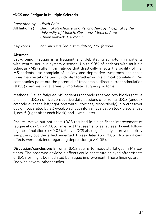#### tDCS and Fatigue in Multiple Sclerosis

| Presented by   | Ulrich Palm                                            |
|----------------|--------------------------------------------------------|
| Affiliation(s) | Dept. of Psychiatry and Psychotherapy, Hospital of the |
|                | University of Munich, Germany. Medical Park            |
|                | Chiemseeblick, Germany                                 |
|                |                                                        |

Keywords *non-invasive brain stimulation, MS, fatigue*

#### Abstract

Background: Fatigue is a frequent and debilitating symptom in patients with central nervous system diseases. Up to 90% of patients with multiple sclerosis (MS) suffer from fatigue that drastically affects the quality of life. MS patients also complain of anxiety and depressive symptoms and these three manifestations tend to cluster together in this clinical population. Recent studies point out the potential of transcranial direct current stimulation (tDCS) over prefrontal areas to modulate fatigue symptoms.

Methods: Eleven fatigued MS patients randomly received two blocks (active and sham tDCS) of five consecutive daily sessions of bifrontal tDCS (anode/ cathode over the left/right prefrontal cortices, respectively) in a crossover design, separated by a 3-week washout interval. Evaluation took place at day 1, day 5 (right after each block) and 1 week later.

Results: Active but not sham tDCS resulted in a significant improvement of fatigue at day 5 (p < 0.05), an effect that seems to last at least 1 week following the stimulation ( $p = 0.05$ ). Active tDCS also significantly improved anxiety symptoms, but the effect emerged 1 week later ( $p < 0.05$ ). No significant effects were obtained regarding depression ( $p > 0.05$ ).

Discussion/conclusion: Bifrontal tDCS seems to modulate fatigue in MS patients. The observed anxiolytic effects could constitute delayed after effects of tDCS or might be mediated by fatigue improvement. These findings are in line with several other studies.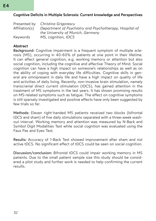#### Cognitive Deficits in Multiple Sclerosis: Current knowledge and Perspectives

Presented by *Christina Grigorescu*  Department of Psychiatry and Psychotherapy, Hospital of  *the University of Munich, Germany* Keywords *MS, cognition, tDCS*

#### Abstract

Background: Cognitive impairment is a frequent symptom of multiple sclerosis (MS), occurring in 40-60% of patients at one point in their lifetime. It can affect general cognition, e.g. working memory or attention but also social cognition, including the cognitive and affective Theory of Mind. Social cognition can have a high impact on someone's relationships as well as on the ability of coping with everyday life difficulties. Cognitive skills in general are omnipresent in daily life and have a high impact on quality of life and activities of daily living. Recently, non-invasive brain stimulation, namely transcranial direct current stimulation (tDCS), has gained attention in the treatment of MS symptoms in the last years. It has shown promising results on MS-related symptoms such as fatigue. The effect on cognitive symptoms is still sparsely investigated and positive effects have only been suggested by few trials so far.

Methods: Eleven right-handed MS patients received two blocks (bifrontal tDCS and sham) of five daily stimulations separated with a three-week washout interval. Working memory and attention was measured by N-Back and Symbol Digit Modalities Test while social cognition was evaluated using the Faux Pas and Eyes Test.

Results: Accuracy of 1-Back Test showed improvement after sham and not active tDCS. No significant effect of tDCS could be seen on social cognition.

Discussion/conclusion: Bifrontal tDCS could impair working memory in MS patients. Due to the small patient sample size this study should be considered a pilot study and further work is needed to help confirming the current results.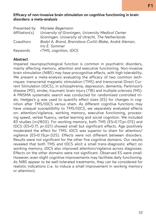#### Efficacy of non-invasive brain stimulation on cognitive functioning in brain disorders: a meta-analysis

| Presented by   | Marieke Begemann                                       |
|----------------|--------------------------------------------------------|
| Affiliation(s) | University of Groningen, University Medical Center     |
|                | Groningen. University of Utrecht, The Netherlands      |
| Coauthors      | Bodyl A. Brand, Branislava Ćurčić-Blake, André Aleman, |
|                | Iris E. Sommer                                         |
| Keywords       | rTMS, cognition, tDCS                                  |

#### Abstract

Impaired neuropsychological function is common in psychiatric disorders, mainly affecting memory, attention and executive functioning. Non-invasive brain stimulation (NIBS) may have procognitive effects, with high tolerability. We present a meta-analysis evaluating the efficacy of two common techniques: transcranial magnetic stimulation (TMS) and transcranial Direct Current Stimulation (tDCS), in schizophrenia, depression, dementia, Parkinson's disease (PD), stroke, traumatic brain injury (TBI) and multiple sclerosis (MS). A PRISMA systematic search was conducted for randomized controlled trials. Hedges's g was used to quantify effect sizes (ES) for changes in cognition after TMS/tDCS versus sham. As different cognitive functions may have unequal susceptibility to TMS/tDCS, we separately evaluated effects on: attention/vigilance, working memory, executive functioning, processing speed, verbal fluency, verbal learning and social cognition. We included 83 studies (n=2800). For working memory, both TMS (ES=0.17,p=.015) and tDCS (ES=0.17, p=.021) showed small but significant effects. Age positively moderated the effect for TMS. tDCS was superior to sham for attention/ vigilance (ES=0.19,p=.025). Effects were not different between disorders. Results were not significant for the other five cognitive domains. Our results revealed that both TMS and tDCS elicit a small trans-diagnostic effect on working memory, tDCS also improved attention/vigilance across diagnoses. Effects on the other domains were not significant. Observed ES were small. However, even slight cognitive improvements may facilitate daily functioning. As NIBS appear to be well-tolerated treatments, they can be considered for realistic indications (i.e. to induce a small improvement in working memory or attention).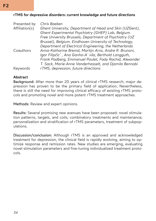$F<sub>2</sub>$ 

#### rTMS for depressive disorders: current knowledge and future directions

| Presented by   | Chris Baeken                                            |
|----------------|---------------------------------------------------------|
| Affiliation(s) | Ghent University, Department of Head and Skin (UZGent), |
|                | Ghent Experimental Psychiatry (GHEP) Lab, Belgium.      |
|                | Free University Brussels, Department of Psychiatry (UZ  |
|                | Brussel), Belgium. Eindhoven University of Technology,  |
|                | Department of Electrical Engineering, the Netherlands   |
| Coauthors      | Anna-Katharine Bremd, Martijn Arns, Andre R. Brunoni,   |
|                | Igor Filipčic', Ana Ganho-A' vila, Berthold Langguth,   |
|                | Frank Padberg, Emmanuel Poulet, Fady Rachid, Alexander  |
|                | T. Sack, Marie-Anne Vanderhasselt, and Djamila Bennabi  |
| Keywords       | rTMS, depression, future directions                     |

#### Abstract

Background: After more than 20 years of clinical rTMS research, major depression has proven to be the primary field of application, Nevertheless, there is still the need for improving clinical efficacy of existing rTMS protocols and promoting novel and more potent rTMS treatment approaches.

Methods: Review and expert opinions.

Results: Several promising new avenues have been proposed: novel stimulation patterns, targets, and coils; combinatory treatments and maintenance; personalization and stratification of rTMS parameters, treatment of subpopulations.

Discussion/conclusion: Although rTMS is an approved and acknowledged treatment for depression, the clinical field is rapidly evolving, aiming to optimize response and remission rates. New studies are emerging, evaluating novel stimulation parameters and fine-tuning individualized treatment protocols.